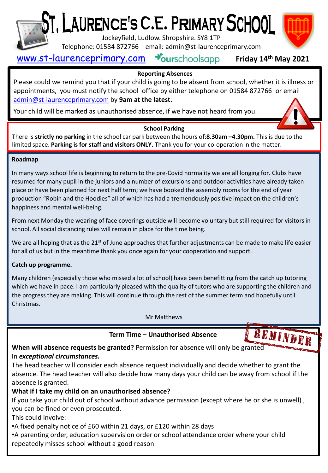

# [, LAURENCE'S C.E. PRIMARY SCHOOL

Jockeyfield, Ludlow. Shropshire. SY8 1TP

Telephone: 01584 872766 email: admin@st-laurenceprimary.com

## [www.st-laurenceprimary.com](http://www.st-laurenceprimary.com/) Sourschoolsapp

### **Friday 14th May 2021**

#### **Reporting Absences**

Please could we remind you that if your child is going to be absent from school, whether it is illness or appointments, you must notify the school office by either telephone on 01584 872766 or email [admin@st-laurenceprimary.com](mailto:admin@st-laurenceprimary.com) by **9am at the latest.**

Your child will be marked as unauthorised absence, if we have not heard from you.

#### **School Parking**

There is **strictly no parking** in the school car park between the hours of:**8.30am –4.30pm.** This is due to the limited space. **Parking is for staff and visitors ONLY.** Thank you for your co-operation in the matter.

#### **Roadmap**

In many ways school life is beginning to return to the pre-Covid normality we are all longing for. Clubs have resumed for many pupil in the juniors and a number of excursions and outdoor activities have already taken place or have been planned for next half term; we have booked the assembly rooms for the end of year production "Robin and the Hoodies" all of which has had a tremendously positive impact on the children's happiness and mental well-being.

From next Monday the wearing of face coverings outside will become voluntary but still required for visitors in school. All social distancing rules will remain in place for the time being.

We are all hoping that as the  $21^{st}$  of June approaches that further adjustments can be made to make life easier for all of us but in the meantime thank you once again for your cooperation and support.

#### **Catch up programme.**

Many children (especially those who missed a lot of school) have been benefitting from the catch up tutoring which we have in pace. I am particularly pleased with the quality of tutors who are supporting the children and the progress they are making. This will continue through the rest of the summer term and hopefully until Christmas.

Mr Matthews

#### **Term Time – Unauthorised Absence**

**When will absence requests be granted?** Permission for absence will only be granted In *exceptional circumstances.*

The head teacher will consider each absence request individually and decide whether to grant the absence. The head teacher will also decide how many days your child can be away from school if the absence is granted.

#### **What if I take my child on an unauthorised absence?**

If you take your child out of school without advance permission (except where he or she is unwell) , you can be fined or even prosecuted.

This could involve:

•A fixed penalty notice of £60 within 21 days, or £120 within 28 days

•A parenting order, education supervision order or school attendance order where your child

repeatedly misses school without a good reason